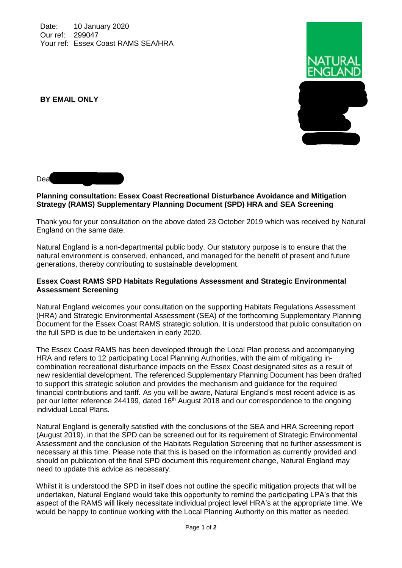Date: 10 January 2020 Our ref: 299047 Your ref: Essex Coast RAMS SEA/HRA



**BY EMAIL ONLY**

## Dea

## **Planning consultation: Essex Coast Recreational Disturbance Avoidance and Mitigation Strategy (RAMS) Supplementary Planning Document (SPD) HRA and SEA Screening**

Thank you for your consultation on the above dated 23 October 2019 which was received by Natural England on the same date.

Natural England is a non-departmental public body. Our statutory purpose is to ensure that the natural environment is conserved, enhanced, and managed for the benefit of present and future generations, thereby contributing to sustainable development.

## **Essex Coast RAMS SPD Habitats Regulations Assessment and Strategic Environmental Assessment Screening**

Natural England welcomes your consultation on the supporting Habitats Regulations Assessment (HRA) and Strategic Environmental Assessment (SEA) of the forthcoming Supplementary Planning Document for the Essex Coast RAMS strategic solution. It is understood that public consultation on the full SPD is due to be undertaken in early 2020.

The Essex Coast RAMS has been developed through the Local Plan process and accompanying HRA and refers to 12 participating Local Planning Authorities, with the aim of mitigating incombination recreational disturbance impacts on the Essex Coast designated sites as a result of new residential development. The referenced Supplementary Planning Document has been drafted to support this strategic solution and provides the mechanism and guidance for the required financial contributions and tariff. As you will be aware, Natural England's most recent advice is as per our letter reference 244199, dated 16<sup>th</sup> August 2018 and our correspondence to the ongoing individual Local Plans.

Natural England is generally satisfied with the conclusions of the SEA and HRA Screening report (August 2019), in that the SPD can be screened out for its requirement of Strategic Environmental Assessment and the conclusion of the Habitats Regulation Screening that no further assessment is necessary at this time. Please note that this is based on the information as currently provided and should on publication of the final SPD document this requirement change, Natural England may need to update this advice as necessary.

Whilst it is understood the SPD in itself does not outline the specific mitigation projects that will be undertaken, Natural England would take this opportunity to remind the participating LPA's that this aspect of the RAMS will likely necessitate individual project level HRA's at the appropriate time. We would be happy to continue working with the Local Planning Authority on this matter as needed.